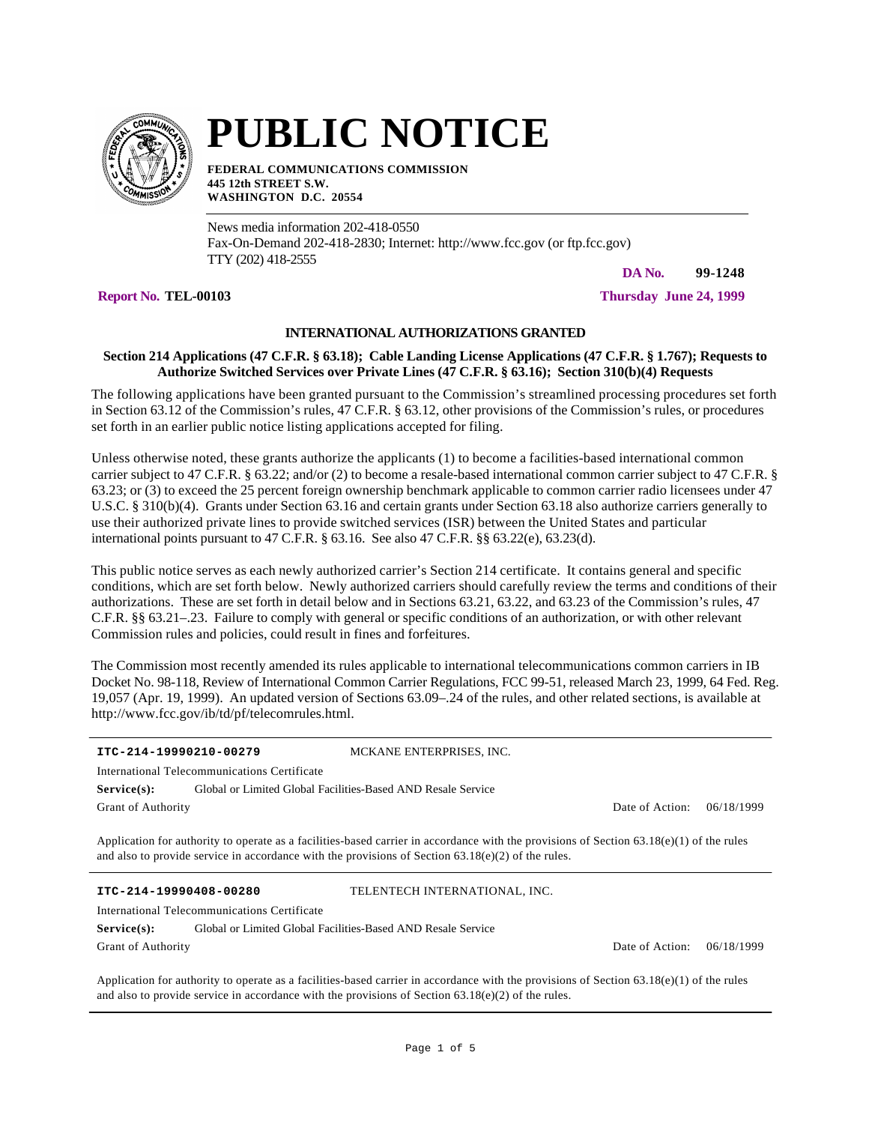

# **PUBLIC NOTICE**

**FEDERAL COMMUNICATIONS COMMISSION 445 12th STREET S.W. WASHINGTON D.C. 20554**

News media information 202-418-0550 Fax-On-Demand 202-418-2830; Internet: http://www.fcc.gov (or ftp.fcc.gov) TTY (202) 418-2555

**DA No. 99-1248**

**Report No. TEL-00103 Thursday June 24, 1999**

# **INTERNATIONAL AUTHORIZATIONS GRANTED**

## **Section 214 Applications (47 C.F.R. § 63.18); Cable Landing License Applications (47 C.F.R. § 1.767); Requests to Authorize Switched Services over Private Lines (47 C.F.R. § 63.16); Section 310(b)(4) Requests**

The following applications have been granted pursuant to the Commission's streamlined processing procedures set forth in Section 63.12 of the Commission's rules, 47 C.F.R. § 63.12, other provisions of the Commission's rules, or procedures set forth in an earlier public notice listing applications accepted for filing.

Unless otherwise noted, these grants authorize the applicants (1) to become a facilities-based international common carrier subject to 47 C.F.R. § 63.22; and/or (2) to become a resale-based international common carrier subject to 47 C.F.R. § 63.23; or (3) to exceed the 25 percent foreign ownership benchmark applicable to common carrier radio licensees under 47 U.S.C. § 310(b)(4). Grants under Section 63.16 and certain grants under Section 63.18 also authorize carriers generally to use their authorized private lines to provide switched services (ISR) between the United States and particular international points pursuant to 47 C.F.R. § 63.16. See also 47 C.F.R. §§ 63.22(e), 63.23(d).

This public notice serves as each newly authorized carrier's Section 214 certificate. It contains general and specific conditions, which are set forth below. Newly authorized carriers should carefully review the terms and conditions of their authorizations. These are set forth in detail below and in Sections 63.21, 63.22, and 63.23 of the Commission's rules, 47 C.F.R. §§ 63.21–.23. Failure to comply with general or specific conditions of an authorization, or with other relevant Commission rules and policies, could result in fines and forfeitures.

The Commission most recently amended its rules applicable to international telecommunications common carriers in IB Docket No. 98-118, Review of International Common Carrier Regulations, FCC 99-51, released March 23, 1999, 64 Fed. Reg. 19,057 (Apr. 19, 1999). An updated version of Sections 63.09–.24 of the rules, and other related sections, is available at http://www.fcc.gov/ib/td/pf/telecomrules.html.

| ITC-214-19990210-00279                       |                                                              |  | MCKANE ENTERPRISES, INC. |  |  |  |                 |            |
|----------------------------------------------|--------------------------------------------------------------|--|--------------------------|--|--|--|-----------------|------------|
| International Telecommunications Certificate |                                                              |  |                          |  |  |  |                 |            |
| Service(s):                                  | Global or Limited Global Facilities-Based AND Resale Service |  |                          |  |  |  |                 |            |
| <b>Grant of Authority</b>                    |                                                              |  |                          |  |  |  | Date of Action: | 06/18/1999 |
|                                              |                                                              |  |                          |  |  |  |                 |            |

Application for authority to operate as a facilities-based carrier in accordance with the provisions of Section 63.18(e)(1) of the rules and also to provide service in accordance with the provisions of Section  $63.18(e)(2)$  of the rules.

**ITC-214-19990408-00280** TELENTECH INTERNATIONAL, INC.

|                           | International Telecommunications Certificate                 |
|---------------------------|--------------------------------------------------------------|
| <b>Service(s):</b>        | Global or Limited Global Facilities-Based AND Resale Service |
| <b>Grant of Authority</b> |                                                              |

Date of Action: 06/18/1999

Application for authority to operate as a facilities-based carrier in accordance with the provisions of Section 63.18(e)(1) of the rules and also to provide service in accordance with the provisions of Section  $63.18(e)(2)$  of the rules.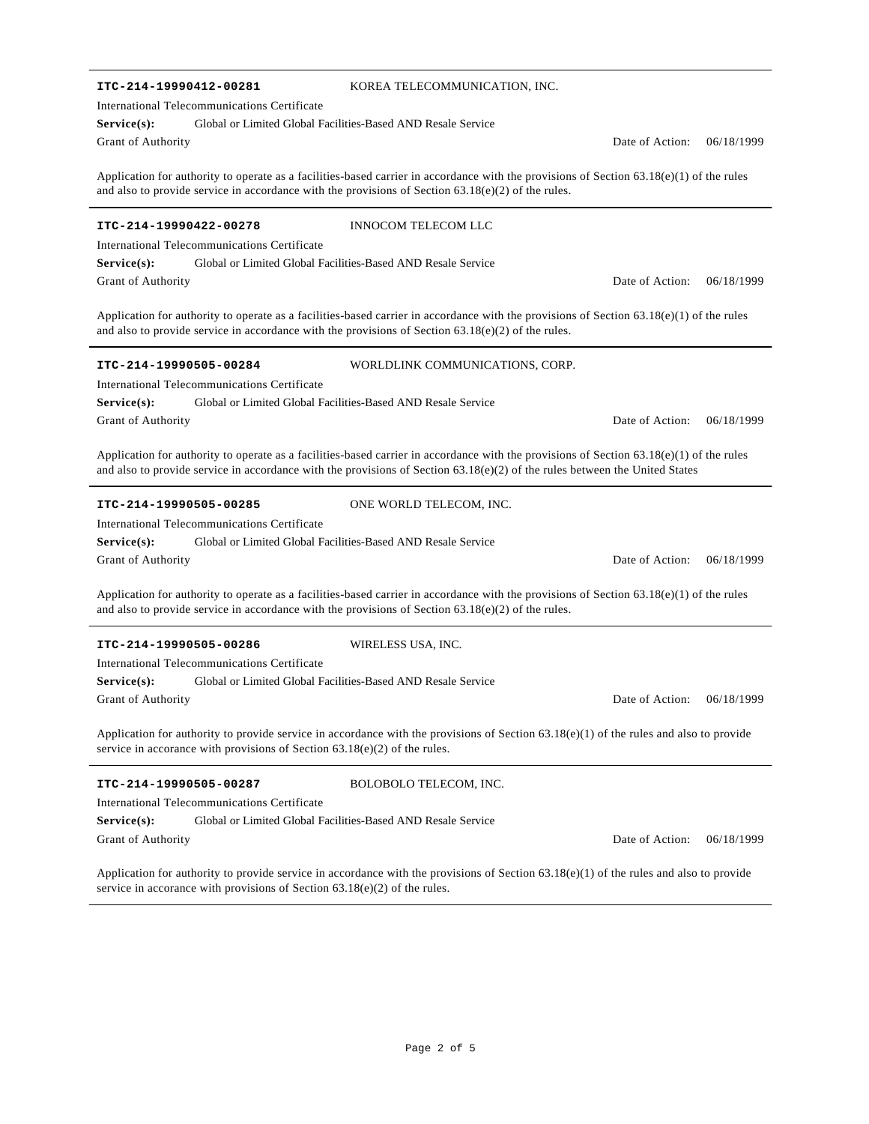| ITC-214-19990412-00281                                                                                                                                                                                                                                                      | KOREA TELECOMMUNICATION, INC.   |  |  |  |  |  |  |
|-----------------------------------------------------------------------------------------------------------------------------------------------------------------------------------------------------------------------------------------------------------------------------|---------------------------------|--|--|--|--|--|--|
| International Telecommunications Certificate                                                                                                                                                                                                                                |                                 |  |  |  |  |  |  |
| Service(s):<br>Global or Limited Global Facilities-Based AND Resale Service                                                                                                                                                                                                 |                                 |  |  |  |  |  |  |
| Grant of Authority                                                                                                                                                                                                                                                          | Date of Action:<br>06/18/1999   |  |  |  |  |  |  |
| Application for authority to operate as a facilities-based carrier in accordance with the provisions of Section $63.18(e)(1)$ of the rules<br>and also to provide service in accordance with the provisions of Section $63.18(e)(2)$ of the rules.                          |                                 |  |  |  |  |  |  |
| ITC-214-19990422-00278                                                                                                                                                                                                                                                      | <b>INNOCOM TELECOM LLC</b>      |  |  |  |  |  |  |
| International Telecommunications Certificate                                                                                                                                                                                                                                |                                 |  |  |  |  |  |  |
| Global or Limited Global Facilities-Based AND Resale Service<br>Service(s):                                                                                                                                                                                                 |                                 |  |  |  |  |  |  |
| Grant of Authority                                                                                                                                                                                                                                                          | Date of Action:<br>06/18/1999   |  |  |  |  |  |  |
| Application for authority to operate as a facilities-based carrier in accordance with the provisions of Section $63.18(e)(1)$ of the rules<br>and also to provide service in accordance with the provisions of Section $63.18(e)(2)$ of the rules.                          |                                 |  |  |  |  |  |  |
| ITC-214-19990505-00284                                                                                                                                                                                                                                                      | WORLDLINK COMMUNICATIONS, CORP. |  |  |  |  |  |  |
| International Telecommunications Certificate                                                                                                                                                                                                                                |                                 |  |  |  |  |  |  |
| Global or Limited Global Facilities-Based AND Resale Service<br>Service(s):                                                                                                                                                                                                 |                                 |  |  |  |  |  |  |
| Grant of Authority                                                                                                                                                                                                                                                          | Date of Action:<br>06/18/1999   |  |  |  |  |  |  |
| Application for authority to operate as a facilities-based carrier in accordance with the provisions of Section $63.18(e)(1)$ of the rules<br>and also to provide service in accordance with the provisions of Section $63.18(e)(2)$ of the rules between the United States |                                 |  |  |  |  |  |  |
| ITC-214-19990505-00285                                                                                                                                                                                                                                                      | ONE WORLD TELECOM, INC.         |  |  |  |  |  |  |
| International Telecommunications Certificate                                                                                                                                                                                                                                |                                 |  |  |  |  |  |  |
| Service(s):<br>Global or Limited Global Facilities-Based AND Resale Service                                                                                                                                                                                                 |                                 |  |  |  |  |  |  |
| Grant of Authority                                                                                                                                                                                                                                                          | Date of Action:<br>06/18/1999   |  |  |  |  |  |  |
| Application for authority to operate as a facilities-based carrier in accordance with the provisions of Section $63.18(e)(1)$ of the rules<br>and also to provide service in accordance with the provisions of Section $63.18(e)(2)$ of the rules.                          |                                 |  |  |  |  |  |  |
| ITC-214-19990505-00286                                                                                                                                                                                                                                                      | WIRELESS USA, INC.              |  |  |  |  |  |  |
| International Telecommunications Certificate                                                                                                                                                                                                                                |                                 |  |  |  |  |  |  |
| Service(s):<br>Global or Limited Global Facilities-Based AND Resale Service                                                                                                                                                                                                 |                                 |  |  |  |  |  |  |
| Grant of Authority                                                                                                                                                                                                                                                          | Date of Action:<br>06/18/1999   |  |  |  |  |  |  |
| Application for authority to provide service in accordance with the provisions of Section $63.18(e)(1)$ of the rules and also to provide<br>service in accorance with provisions of Section $63.18(e)(2)$ of the rules.                                                     |                                 |  |  |  |  |  |  |
| ITC-214-19990505-00287                                                                                                                                                                                                                                                      | BOLOBOLO TELECOM, INC.          |  |  |  |  |  |  |
| International Telecommunications Certificate                                                                                                                                                                                                                                |                                 |  |  |  |  |  |  |
| Global or Limited Global Facilities-Based AND Resale Service<br>Service(s):                                                                                                                                                                                                 |                                 |  |  |  |  |  |  |
| Grant of Authority                                                                                                                                                                                                                                                          | Date of Action:<br>06/18/1999   |  |  |  |  |  |  |
|                                                                                                                                                                                                                                                                             |                                 |  |  |  |  |  |  |

Application for authority to provide service in accordance with the provisions of Section  $63.18(e)(1)$  of the rules and also to provide service in accorance with provisions of Section 63.18(e)(2) of the rules.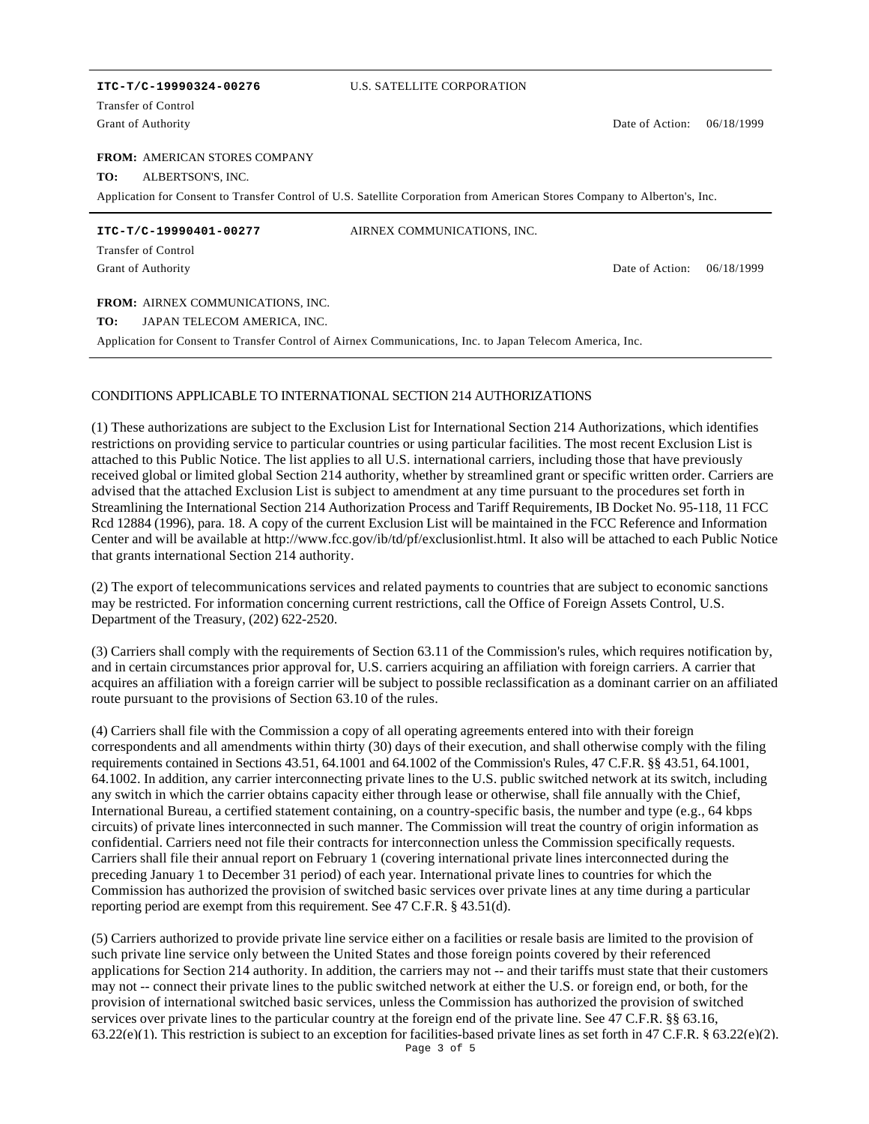Grant of Authority Transfer of Control

### **ITC-T/C-19990324-00276** U.S. SATELLITE CORPORATION

Date of Action: 06/18/1999

Date of Action: 06/18/1999

#### **FROM: AMERICAN STORES COMPANY**

**TO:** ALBERTSON'S, INC.

Application for Consent to Transfer Control of U.S. Satellite Corporation from American Stores Company to Alberton's, Inc.

**ITC-T/C-19990401-00277** AIRNEX COMMUNICATIONS, INC.

Grant of Authority Transfer of Control

FROM: AIRNEX COMMUNICATIONS, INC.

**TO:** JAPAN TELECOM AMERICA, INC.

Application for Consent to Transfer Control of Airnex Communications, Inc. to Japan Telecom America, Inc.

## CONDITIONS APPLICABLE TO INTERNATIONAL SECTION 214 AUTHORIZATIONS

(1) These authorizations are subject to the Exclusion List for International Section 214 Authorizations, which identifies restrictions on providing service to particular countries or using particular facilities. The most recent Exclusion List is attached to this Public Notice. The list applies to all U.S. international carriers, including those that have previously received global or limited global Section 214 authority, whether by streamlined grant or specific written order. Carriers are advised that the attached Exclusion List is subject to amendment at any time pursuant to the procedures set forth in Streamlining the International Section 214 Authorization Process and Tariff Requirements, IB Docket No. 95-118, 11 FCC Rcd 12884 (1996), para. 18. A copy of the current Exclusion List will be maintained in the FCC Reference and Information Center and will be available at http://www.fcc.gov/ib/td/pf/exclusionlist.html. It also will be attached to each Public Notice that grants international Section 214 authority.

(2) The export of telecommunications services and related payments to countries that are subject to economic sanctions may be restricted. For information concerning current restrictions, call the Office of Foreign Assets Control, U.S. Department of the Treasury, (202) 622-2520.

(3) Carriers shall comply with the requirements of Section 63.11 of the Commission's rules, which requires notification by, and in certain circumstances prior approval for, U.S. carriers acquiring an affiliation with foreign carriers. A carrier that acquires an affiliation with a foreign carrier will be subject to possible reclassification as a dominant carrier on an affiliated route pursuant to the provisions of Section 63.10 of the rules.

(4) Carriers shall file with the Commission a copy of all operating agreements entered into with their foreign correspondents and all amendments within thirty (30) days of their execution, and shall otherwise comply with the filing requirements contained in Sections 43.51, 64.1001 and 64.1002 of the Commission's Rules, 47 C.F.R. §§ 43.51, 64.1001, 64.1002. In addition, any carrier interconnecting private lines to the U.S. public switched network at its switch, including any switch in which the carrier obtains capacity either through lease or otherwise, shall file annually with the Chief, International Bureau, a certified statement containing, on a country-specific basis, the number and type (e.g., 64 kbps circuits) of private lines interconnected in such manner. The Commission will treat the country of origin information as confidential. Carriers need not file their contracts for interconnection unless the Commission specifically requests. Carriers shall file their annual report on February 1 (covering international private lines interconnected during the preceding January 1 to December 31 period) of each year. International private lines to countries for which the Commission has authorized the provision of switched basic services over private lines at any time during a particular reporting period are exempt from this requirement. See 47 C.F.R. § 43.51(d).

(5) Carriers authorized to provide private line service either on a facilities or resale basis are limited to the provision of such private line service only between the United States and those foreign points covered by their referenced applications for Section 214 authority. In addition, the carriers may not -- and their tariffs must state that their customers may not -- connect their private lines to the public switched network at either the U.S. or foreign end, or both, for the provision of international switched basic services, unless the Commission has authorized the provision of switched services over private lines to the particular country at the foreign end of the private line. See 47 C.F.R. §§ 63.16, 63.22(e)(1). This restriction is subject to an exception for facilities-based private lines as set forth in 47 C.F.R. § 63.22(e)(2).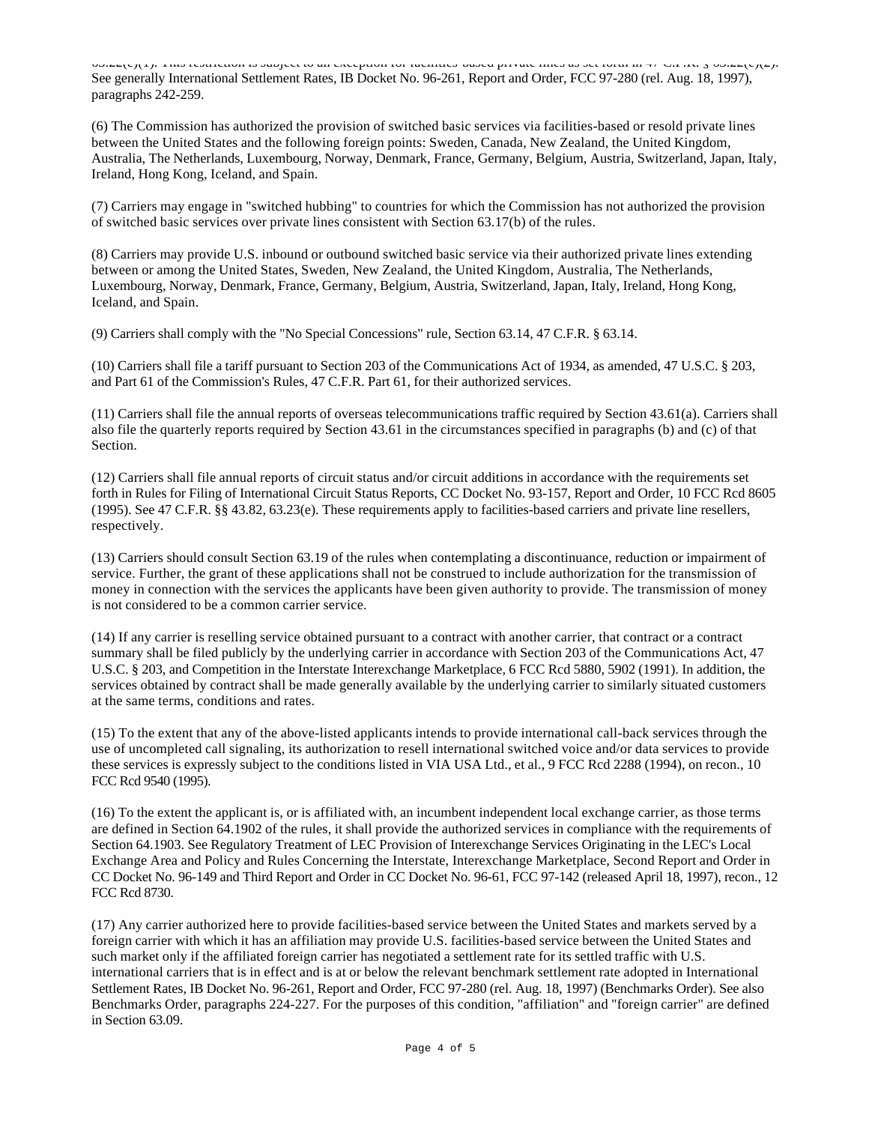63.22(e)(1). This restriction is subject to an exception for facilities-based private lines as set forth in 47 C.F.R. § 63.22(e)(2). See generally International Settlement Rates, IB Docket No. 96-261, Report and Order, FCC 97-280 (rel. Aug. 18, 1997), paragraphs 242-259.

(6) The Commission has authorized the provision of switched basic services via facilities-based or resold private lines between the United States and the following foreign points: Sweden, Canada, New Zealand, the United Kingdom, Australia, The Netherlands, Luxembourg, Norway, Denmark, France, Germany, Belgium, Austria, Switzerland, Japan, Italy, Ireland, Hong Kong, Iceland, and Spain.

(7) Carriers may engage in "switched hubbing" to countries for which the Commission has not authorized the provision of switched basic services over private lines consistent with Section 63.17(b) of the rules.

(8) Carriers may provide U.S. inbound or outbound switched basic service via their authorized private lines extending between or among the United States, Sweden, New Zealand, the United Kingdom, Australia, The Netherlands, Luxembourg, Norway, Denmark, France, Germany, Belgium, Austria, Switzerland, Japan, Italy, Ireland, Hong Kong, Iceland, and Spain.

(9) Carriers shall comply with the "No Special Concessions" rule, Section 63.14, 47 C.F.R. § 63.14.

(10) Carriers shall file a tariff pursuant to Section 203 of the Communications Act of 1934, as amended, 47 U.S.C. § 203, and Part 61 of the Commission's Rules, 47 C.F.R. Part 61, for their authorized services.

(11) Carriers shall file the annual reports of overseas telecommunications traffic required by Section 43.61(a). Carriers shall also file the quarterly reports required by Section 43.61 in the circumstances specified in paragraphs (b) and (c) of that Section.

(12) Carriers shall file annual reports of circuit status and/or circuit additions in accordance with the requirements set forth in Rules for Filing of International Circuit Status Reports, CC Docket No. 93-157, Report and Order, 10 FCC Rcd 8605 (1995). See 47 C.F.R. §§ 43.82, 63.23(e). These requirements apply to facilities-based carriers and private line resellers, respectively.

(13) Carriers should consult Section 63.19 of the rules when contemplating a discontinuance, reduction or impairment of service. Further, the grant of these applications shall not be construed to include authorization for the transmission of money in connection with the services the applicants have been given authority to provide. The transmission of money is not considered to be a common carrier service.

(14) If any carrier is reselling service obtained pursuant to a contract with another carrier, that contract or a contract summary shall be filed publicly by the underlying carrier in accordance with Section 203 of the Communications Act, 47 U.S.C. § 203, and Competition in the Interstate Interexchange Marketplace, 6 FCC Rcd 5880, 5902 (1991). In addition, the services obtained by contract shall be made generally available by the underlying carrier to similarly situated customers at the same terms, conditions and rates.

(15) To the extent that any of the above-listed applicants intends to provide international call-back services through the use of uncompleted call signaling, its authorization to resell international switched voice and/or data services to provide these services is expressly subject to the conditions listed in VIA USA Ltd., et al., 9 FCC Rcd 2288 (1994), on recon., 10 FCC Rcd 9540 (1995).

(16) To the extent the applicant is, or is affiliated with, an incumbent independent local exchange carrier, as those terms are defined in Section 64.1902 of the rules, it shall provide the authorized services in compliance with the requirements of Section 64.1903. See Regulatory Treatment of LEC Provision of Interexchange Services Originating in the LEC's Local Exchange Area and Policy and Rules Concerning the Interstate, Interexchange Marketplace, Second Report and Order in CC Docket No. 96-149 and Third Report and Order in CC Docket No. 96-61, FCC 97-142 (released April 18, 1997), recon., 12 FCC Rcd 8730.

(17) Any carrier authorized here to provide facilities-based service between the United States and markets served by a foreign carrier with which it has an affiliation may provide U.S. facilities-based service between the United States and such market only if the affiliated foreign carrier has negotiated a settlement rate for its settled traffic with U.S. international carriers that is in effect and is at or below the relevant benchmark settlement rate adopted in International Settlement Rates, IB Docket No. 96-261, Report and Order, FCC 97-280 (rel. Aug. 18, 1997) (Benchmarks Order). See also Benchmarks Order, paragraphs 224-227. For the purposes of this condition, "affiliation" and "foreign carrier" are defined in Section 63.09.